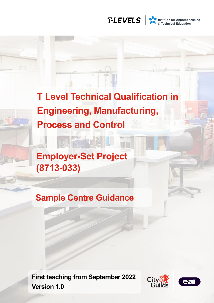

Institute for Apprenticeships<br>
& Technical Education

**T Level Technical Qualification in Engineering, Manufacturing, Process and Control**

**Employer-Set Project (8713-033)**

**Sample Centre Guidance**

**First teaching from September 2022 Version 1.0**



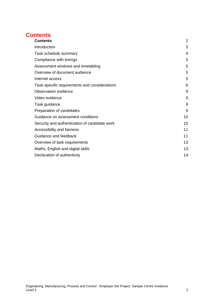# <span id="page-1-0"></span>**Contents**

| <b>Contents</b>                               | 2  |
|-----------------------------------------------|----|
| Introduction                                  | 3  |
| Task schedule summary                         | 4  |
| Compliance with timings                       | 5  |
| Assessment windows and timetabling            | 5  |
| Overview of document audience                 | 5  |
| Internet access                               | 5  |
| Task-specific requirements and considerations | 6  |
| Observation evidence                          | 9  |
| Video evidence                                | 9  |
| Task guidance                                 | 9  |
| Preparation of candidates                     | 9  |
| Guidance on assessment conditions             | 10 |
| Security and authentication of candidate work | 10 |
| Accessibility and fairness                    | 11 |
| Guidance and feedback                         | 11 |
| Overview of task requirements                 | 13 |
| Maths, English and digital skills             | 13 |
| Declaration of authenticity                   | 14 |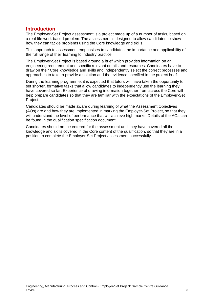## <span id="page-2-0"></span>**Introduction**

The Employer-Set Project assessment is a project made up of a number of tasks, based on a real-life work-based problem. The assessment is designed to allow candidates to show how they can tackle problems using the Core knowledge and skills.

This approach to assessment emphasises to candidates the importance and applicability of the full range of their learning to industry practice.

The Employer-Set Project is based around a brief which provides information on an engineering requirement and specific relevant details and resources. Candidates have to draw on their Core knowledge and skills and independently select the correct processes and approaches to take to provide a solution and the evidence specified in the project brief.

During the learning programme, it is expected that tutors will have taken the opportunity to set shorter, formative tasks that allow candidates to independently use the learning they have covered so far. Experience of drawing information together from across the Core will help prepare candidates so that they are familiar with the expectations of the Employer-Set Project.

Candidates should be made aware during learning of what the Assessment Objectives (AOs) are and how they are implemented in marking the Employer-Set Project, so that they will understand the level of performance that will achieve high marks. Details of the AOs can be found in the qualification specification document.

Candidates should not be entered for the assessment until they have covered all the knowledge and skills covered in the Core content of the qualification, so that they are in a position to complete the Employer-Set Project assessment successfully.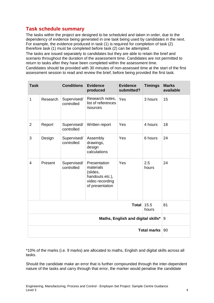## <span id="page-3-0"></span>**Task schedule summary**

The tasks within the project are designed to be scheduled and taken in order, due to the dependency of evidence being generated in one task being used by candidates in the next. For example, the evidence produced in task (1) is required for completion of task (2) therefore task (1) must be completed before task (2) can be attempted.

The tasks are issued separately to candidates but they are able to retain the brief and scenario throughout the duration of the assessment time. Candidates are not permitted to return to tasks after they have been completed within the assessment time.

Candidates should be provided with 30 minutes of non-assessed time at the start of the first assessment session to read and review the brief, before being provided the first task.

| <b>Task</b>                        |          | <b>Conditions</b>         | <b>Evidence</b><br>produced                                                                    | <b>Evidence</b><br>submitted? | <b>Timings</b> | <b>Marks</b><br>available |
|------------------------------------|----------|---------------------------|------------------------------------------------------------------------------------------------|-------------------------------|----------------|---------------------------|
| 1                                  | Research | Supervised/<br>controlled | Research notes,<br>list of references<br>/sources                                              | Yes                           | 3 hours        | 15                        |
| $\overline{2}$                     | Report   | Supervised/<br>controlled | Written report                                                                                 | Yes                           | 4 hours        | 18                        |
| 3                                  | Design   | Supervised/<br>controlled | Assembly<br>drawings,<br>design<br>calculations                                                | Yes                           | 6 hours        | 24                        |
| $\overline{4}$                     | Present  | Supervised/<br>controlled | Presentation<br>materials<br>(slides,<br>handouts etc.),<br>video recording<br>of presentation | Yes                           | 2.5<br>hours   | 24                        |
| 15.5<br><b>Total</b><br>hours      |          |                           |                                                                                                | 81                            |                |                           |
| Maths, English and digital skills* |          |                           |                                                                                                | 9                             |                |                           |
| <b>Total marks</b>                 |          |                           | 90                                                                                             |                               |                |                           |

\*10% of the marks (i.e. 9 marks) are allocated to maths, English and digital skills across all tasks.

Should the candidate make an error that is further compounded through the inter-dependent nature of the tasks and carry through that error, the marker would penalise the candidate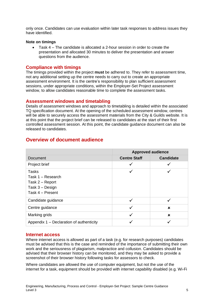only once. Candidates can use evaluation within later task responses to address issues they have identified.

#### **Note on timings**

• Task 4 – The candidate is allocated a 2-hour session in order to create the presentation and allocated 30 minutes to deliver the presentation and answer questions from the audience.

## <span id="page-4-0"></span>**Compliance with timings**

The timings provided within the project **must** be adhered to. They refer to assessment time, not any additional setting up the centre needs to carry out to create an appropriate assessment environment. It is the centre's responsibility to plan sufficient assessment sessions, under appropriate conditions, within the Employer-Set Project assessment window, to allow candidates reasonable time to complete the assessment tasks.

## <span id="page-4-1"></span>**Assessment windows and timetabling**

Details of assessment windows and approach to timetabling is detailed within the associated TQ specification document. At the opening of the scheduled assessment window, centres will be able to securely access the assessment materials from the City & Guilds website. It is at this point that the project brief can be released to candidates at the start of their first controlled assessment session. At this point, the candidate guidance document can also be released to candidates.

|                                                                                      | <b>Approved audience</b> |                  |  |
|--------------------------------------------------------------------------------------|--------------------------|------------------|--|
| <b>Document</b>                                                                      | <b>Centre Staff</b>      | <b>Candidate</b> |  |
| Project brief                                                                        | ✓                        |                  |  |
| Tasks<br>Task 1 - Research<br>Task 2 – Report<br>Task 3 - Design<br>Task 4 - Present |                          |                  |  |
| Candidate guidance                                                                   | $\checkmark$             | ✓                |  |
| Centre guidance                                                                      | ✓                        | ×                |  |
| Marking grids                                                                        | $\checkmark$             | $\mathbf x$      |  |
| Appendix 1 - Declaration of authenticity                                             |                          |                  |  |

## <span id="page-4-2"></span>**Overview of document audience**

#### <span id="page-4-3"></span>**Internet access**

Where internet access is allowed as part of a task (e.g. for research purposes) candidates must be advised that this is the case and reminded of the importance of submitting their own work and the seriousness of plagiarism, malpractice and collusion. Candidates should be advised that their browser history can be monitored, and they may be asked to provide a screenshot of their browser history following tasks for assessors to check.

Where candidates are allowed the use of computer equipment, but not the use of the internet for a task, equipment should be provided with internet capability disabled (e.g. Wi-Fi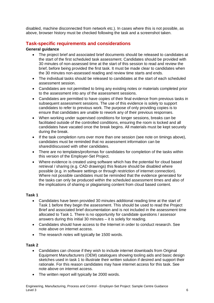disabled, machine disconnected from network etc.). In cases where this is not possible, as above, browser history must be checked following the task and a screenshot taken.

## <span id="page-5-0"></span>**Task-specific requirements and considerations**

### **General guidance**

- The project brief and associated brief documents should be released to candidates at the start of the first scheduled task assessment. Candidates should be provided with 30 minutes of non-assessed time at the start of this session to read and review the brief, before being provided the first task. It must be made clear to candidates when the 30 minutes non-assessed reading and review time starts and ends.
- The individual tasks should be released to candidates at the start of each scheduled assessment session.
- Candidates are not permitted to bring any existing notes or materials completed prior to the assessment into any of the assessment sessions.
- Candidates are permitted to have copies of their final evidence from previous tasks in subsequent assessment sessions. The use of this evidence is solely to support candidates to refer to previous work. The purpose of only providing copies is to ensure that candidates are unable to rework any of their previous responses.
- When working under supervised conditions for longer sessions, breaks can be facilitated outside of the controlled conditions, ensuring the room is locked and all candidates have vacated once the break begins. All materials must be kept securely during the break.
- If the task completion runs over more than one session (see note on timings above). candidates must be reminded that no assessment information can be shared/discussed with other candidates.
- There are no templates/proformas for candidates for completion of the tasks within this version of the Employer-Set Project.
- Where evidence is created using software which has the potential for cloud based retrieval / sharing (e.g. CAD drawings) this feature should be disabled where possible (e.g. in software settings or through restriction of internet connection). Where not possible candidates must be reminded that the evidence generated for the tasks can only be produced within the scheduled assessment times and also of the implications of sharing or plagiarising content from cloud based content.

#### **Task 1**

- Candidates have been provided 30 minutes additional reading time at the start of Task 1 before they begin the assessment. This should be used to read the Project Brief and associated brief documentation and is not included in the assessment time allocated to Task 1. There is no opportunity for candidate questions / assessor answers during this initial 30 minutes – it is solely for reading.
- Candidates should have access to the Internet in order to conduct research. See note above on internet access.
- The research notes will typically be 1500 words.

#### **Task 2**

- Candidates can choose if they wish to include internet downloads from Original Equipment Manufacturers (OEM) catalogues showing tooling aids and basic design sketches used in task 1 to illustrate their written solution if desired and support their rationale. For this reason candidates may have internet access for this task. See note above on internet access.
- The written report will typically be 2000 words.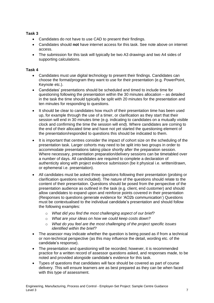### **Task 3**

- Candidates do not have to use CAD to present their findings.
- Candidates should **not** have internet access for this task. See note above on internet access.
- The submission for this task will typically be two A3 drawings and two A4 sides of supporting calculations.

#### **Task 4**

- Candidates must use digital technology to present their findings. Candidates can choose the format/program they want to use for their presentation (e.g. PowerPoint, Keynote etc.).
- Candidates' presentations should be scheduled and timed to include time for questioning following the presentation within the 30 minutes allocation – as detailed in the task the time should typically be split with 20 minutes for the presentation and ten minutes for responding to questions.
- It should be clear to candidates how much of their presentation time has been used up, for example through the use of a timer, or clarification as they start that their session will end in 30 minutes time (e.g. indicating to candidates on a mutually visible clock and confirming the time the session will end). Where candidates are coming to the end of their allocated time and have not yet started the questioning element of the presentation/responded to questions this should be indicated to them.
- It is important that centres consider the impact of cohort size on the scheduling of the presentation task. Larger cohorts may need to be split into two groups in order to accommodate presentations taking place shortly after the preparation session. Where necessary, presentation preparation/delivery sessions can be timetabled over a number of days. All candidates are required to complete a declaration of authenticity along with project evidence submission (be it physical i.e. written/drawn, or ephemeral i.e. presentation).
- All candidates must be asked three questions following their presentation (probing or clarification questions not included). The nature of the questions should relate to the content of their presentation. Questions should be posed from the perspective of the presentation audience as outlined in the task (e.g. client, end customer) and should allow candidates to expand upon and reinforce points covered in their presentation (Responses to questions generate evidence for 'AO2b communication') Questions must be contextualised to the individual candidate's presentation and should follow the following examples:
	- o *What did you find the most challenging aspect of our brief?*
	- o *What are your ideas on how we could keep costs down?*
	- o *What do you feel are the most challenging of the project specific issues identified within the brief?*
- The assessor may indicate whether the question is being posed as if from a technical or non-technical perspective (as this may influence the detail, wording etc. of the candidate's response).
- The presentation and questioning will be recorded; however, it is recommended practice for a written record of assessor questions asked, and responses made, to be noted and provided alongside candidate's evidence for this task.
- Types of questions that candidates will face should be covered as part of course delivery. This will ensure learners are as best prepared as they can be when faced with this type of assessment.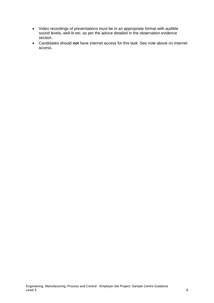- Video recordings of presentations must be in an appropriate format with audible sound levels, well-lit etc. as per the advice detailed in the observation evidence section.
- Candidates should **not** have internet access for this task. See note above on internet access.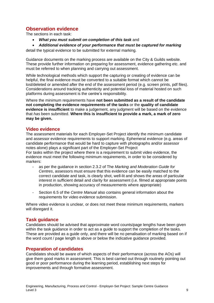## <span id="page-8-0"></span>**Observation evidence**

The sections in each task:

- *What you must submit on completion of this task* and
- *Additional evidence of your performance that must be captured for marking*

detail the typical evidence to be submitted for external marking.

Guidance documents on the marking process are available on the City & Guilds website. These provide further information on preparing for assessment, evidence gathering etc. and must be referred to when planning and carrying out assessment.

While technological methods which support the capturing or creating of evidence can be helpful, the final evidence must be converted to a suitable format which cannot be lost/deleted or amended after the end of the assessment period (e.g. screen prints, pdf files). Considerations around tracking authenticity and potential loss of material hosted on such platforms during assessment is the centre's responsibility.

Where the minimum requirements have **not been submitted as a result of the candidate not completing the evidence requirements of the tasks** or the **quality of candidate evidence is insufficient** to make a judgement, any judgment will be based on the evidence that *has* been submitted. **Where this is insufficient to provide a mark, a mark of zero may be given.**

## <span id="page-8-1"></span>**Video evidence**

The assessment materials for each Employer-Set Project identify the minimum candidate and assessor evidence requirements to support marking. Ephemeral evidence (e.g. areas of candidate performance that would be hard to capture with photographs and/or assessor notes alone) plays a significant part of the Employer-Set Project

For tasks within the project where there is a requirement to submit video evidence, the evidence must meet the following minimum requirements, in order to be considered by markers:

- as per the guidance in section 2.3.2 of The *Marking and Moderation Guide for Centres*, assessors must ensure that this evidence can be easily matched to the correct candidate and task, is clearly shot, well-lit and shows the areas of particular interest in sufficient detail and clarity for assessment (i.e. filmed at appropriate points in production, showing accuracy of measurements where appropriate)
- Section 6.5 of the *Centre Manual* also contains general information about the requirements for video evidence submission.

Where video evidence is unclear, or does not meet these minimum requirements, markers will disregard it.

## <span id="page-8-2"></span>**Task guidance**

Candidates should be advised that approximate word counts/page lengths have been given within the task guidance in order to act as a guide to support the completion of the tasks. These are provided as a guide only, and there will be no penalisation of marking based on if the word count / page length is above or below the indicative guidance provided.

## <span id="page-8-3"></span>**Preparation of candidates**

Candidates should be aware of which aspects of their performance (across the AOs) will give them good marks in assessment. This is best carried out through routinely pointing out good or poor performance during the learning period, establishing next steps for improvements and through formative assessment.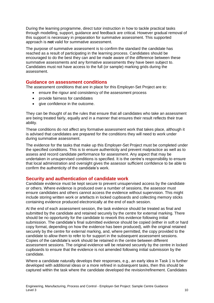During the learning programme, direct tutor instruction in how to tackle practical tasks through modelling, support, guidance and feedback are critical. However gradual removal of this support is necessary in preparation for summative assessment. This supported approach is **not** valid for summative assessment.

The purpose of summative assessment is to confirm the standard the candidate has reached as a result of participating in the learning process. Candidates should be encouraged to do the best they can and be made aware of the difference between these summative assessments and any formative assessments they have been subject to. Candidates must not have access to the full (or sample) marking grids during the assessment.

### <span id="page-9-0"></span>**Guidance on assessment conditions**

The assessment conditions that are in place for this Employer-Set Project are to:

- ensure the rigour and consistency of the assessment process
- provide fairness for candidates
- give confidence in the outcome.

They can be thought of as the rules that ensure that all candidates who take an assessment are being treated fairly, equally and in a manner that ensures their result reflects their true ability.

These conditions do not affect any formative assessment work that takes place, although it is advised that candidates are prepared for the conditions they will need to work under during summative assessment.

The evidence for the tasks that make up this Employer-Set Project must be completed under the specified conditions. This is to ensure authenticity and prevent malpractice as well as to assess and record candidate performance for assessment. Any aspect that may be undertaken in unsupervised conditions is specified. It is the centre's responsibility to ensure that local administration and oversight gives the assessor sufficient confidence to be able to confirm the authenticity of the candidate's work.

## <span id="page-9-1"></span>**Security and authentication of candidate work**

Candidate evidence must be kept secure to prevent unsupervised access by the candidate or others. Where evidence is produced over a number of sessions, the assessor must ensure candidates and others cannot access the evidence without supervision. This might include storing written work or artefacts in locked cupboards and collecting memory sticks containing evidence produced electronically at the end of each session.

At the end of each assessment session, the task evidence should be treated as final and submitted by the candidate and retained securely by the centre for external marking. There should be no opportunity for the candidate to rework this evidence following initial submission. The candidate's final submitted evidence should be copied (either in soft or hard copy format, depending on how the evidence has been produced), with the original retained securely by the centre for external marking, and, where permitted, the copy provided to the candidate to allow them to refer to for support in the subsequent assessment sessions. Copies of the candidate's work should be retained in the centre between different assessment sessions. The original evidence will be retained securely by the centre in locked cupboards to ensure that the evidence is not amended following initial submission by the candidate.

Where a candidate naturally develops their responses, e.g., an early idea in Task 1 is further developed with additional ideas or a more refined in subsequent tasks, then this should be captured within the task where the candidate developed the revision/refinement. Candidates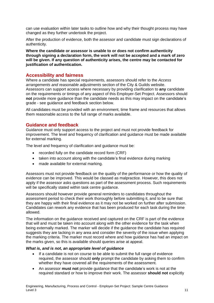can use evaluation within later tasks to outline how and why their thought process may have changed as they further undertook the project.

After the production of evidence, both the assessor and candidate must sign declarations of authenticity.

**Where the candidate or assessor is unable to or does not confirm authenticity through signing a declaration form, the work will not be accepted and a mark of zero will be given. If any question of authenticity arises, the centre may be contacted for justification of authentication.**

## <span id="page-10-0"></span>**Accessibility and fairness**

Where a candidate has special requirements, assessors should refer to the *Access arrangements and reasonable adjustments* section of the City & Guilds website. Assessors can support access where necessary by providing clarification to **any** candidate on the requirements or timings of any aspect of this Employer-Set Project. Assessors should **not** provide more guidance than the candidate needs as this may impact on the candidate's grade - see guidance and feedback section below.

All candidates must be provided with an environment, time frame and resources that allows them reasonable access to the full range of marks available.

## <span id="page-10-1"></span>**Guidance and feedback**

Guidance must only support access to the project and must not provide feedback for improvement. The level and frequency of clarification and guidance must be made available for external marking.

The level and frequency of clarification and guidance must be:

- recorded fully on the candidate record form (CRF)
- taken into account along with the candidate's final evidence during marking
- made available for external marking.

Assessors must not provide feedback on the quality of the performance or how the quality of evidence can be improved. This would be classed as malpractice. However, this does not apply if the assessor asks questions as part of the assessment process. Such requirements will be specifically stated within task centre quidance.

Assessors should however provide general reminders to candidates throughout the assessment period to check their work thoroughly before submitting it, and to be sure that they are happy with their final evidence as it may not be worked on further after submission. Candidates can rework any evidence that has been produced for each task during the time allowed.

The information on the guidance received and captured on the CRF is part of the evidence that will and must be taken into account along with the other evidence for the task when being externally marked. The marker will decide if the guidance the candidate has required suggests they are lacking in any area and consider the severity of the issue when applying the marking criteria. The marker must record where and how guidance has had an impact on the marks given, so this is available should queries arise at appeal.

#### *What is, and is not, an appropriate level of guidance*

- If a candidate is not on course to be able to submit the full range of evidence required, the assessor should **only** prompt the candidate by asking them to confirm whether they have covered all the requirements of the assessment.
- An assessor **must not** provide guidance that the candidate's work is not at the required standard or how to improve their work. The assessor **should not** explicitly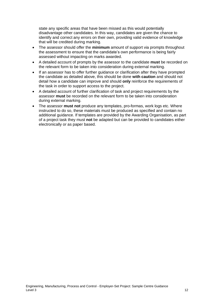state any specific areas that have been missed as this would potentially disadvantage other candidates. In this way, candidates are given the chance to identify and correct any errors on their own, providing valid evidence of knowledge that will be credited during marking.

- The assessor should offer the **minimum** amount of support via prompts throughout the assessment to ensure that the candidate's own performance is being fairly assessed without impacting on marks awarded.
- A detailed account of prompts by the assessor to the candidate **must** be recorded on the relevant form to be taken into consideration during external marking.
- If an assessor has to offer further guidance or clarification after they have prompted the candidate as detailed above, this should be done **with caution** and should not detail how a candidate can improve and should **only** reinforce the requirements of the task in order to support access to the project.
- A detailed account of further clarification of task and project requirements by the assessor **must** be recorded on the relevant form to be taken into consideration during external marking.
- The assessor **must not** produce any templates, pro-formas, work logs etc. Where instructed to do so, these materials must be produced as specified and contain no additional guidance. If templates are provided by the Awarding Organisation, as part of a project task they must **not** be adapted but can be provided to candidates either electronically or as paper based.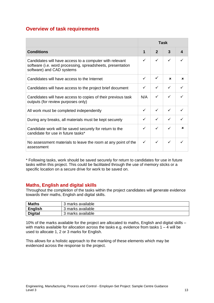# <span id="page-12-0"></span>**Overview of task requirements**

|                                                                                                                                                    | Task |                |             |             |
|----------------------------------------------------------------------------------------------------------------------------------------------------|------|----------------|-------------|-------------|
| <b>Conditions</b>                                                                                                                                  | 1    | $\overline{2}$ | 3           |             |
| Candidates will have access to a computer with relevant<br>software (i.e. word processing, spreadsheets, presentation<br>software) and CAD systems | ✓    | ✓              | ✓           |             |
| Candidates will have access to the Internet                                                                                                        | ✓    | ✓              | $\mathbf x$ | $\mathbf x$ |
| Candidates will have access to the project brief document                                                                                          | ✓    | ✓              |             |             |
| Candidates will have access to copies of their previous task<br>outputs (for review purposes only)                                                 | N/A  | ✓              | ✓           |             |
| All work must be completed independently                                                                                                           | ✓    | ✓              | ✓           |             |
| During any breaks, all materials must be kept securely                                                                                             | ✓    | ✓              |             |             |
| Candidate work will be saved securely for return to the<br>candidate for use in future tasks*                                                      | ✓    | ✓              | ✓           | ×           |
| No assessment materials to leave the room at any point of the<br>assessment                                                                        | ✓    | ✓              | ✓           |             |

\* Following tasks, work should be saved securely for return to candidates for use in future tasks within this project. This could be facilitated through the use of memory sticks or a specific location on a secure drive for work to be saved on.

## <span id="page-12-1"></span>**Maths, English and digital skills**

Throughout the completion of the tasks within the project candidates will generate evidence towards their maths, English and digital skills.

| <b>Maths</b>   | 3 marks available |
|----------------|-------------------|
| <b>English</b> | 3 marks available |
| <b>Digital</b> | 3 marks available |

10% of the marks available for the project are allocated to maths, English and digital skills – with marks available for allocation across the tasks e.g. evidence from tasks  $1 - 4$  will be used to allocate 1, 2 or 3 marks for English.

This allows for a holistic approach to the marking of these elements which may be evidenced across the response to the project.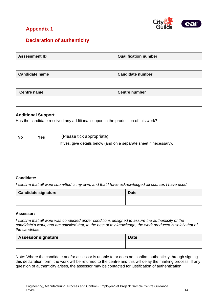

# **Appendix 1**

# <span id="page-13-0"></span>**Declaration of authenticity**

| <b>Assessment ID</b>  | <b>Qualification number</b> |
|-----------------------|-----------------------------|
|                       |                             |
| <b>Candidate name</b> | <b>Candidate number</b>     |
|                       |                             |
| <b>Centre name</b>    | <b>Centre number</b>        |
|                       |                             |

### **Additional Support**

Has the candidate received any additional support in the production of this work?

**No Yes**

(Please tick appropriate)

If yes, give details below (and on a separate sheet if necessary).

#### **Candidate:**

I confirm that all work submitted is my own, and that I have acknowledged all sources I have used.

| <b>Candidate signature</b> | <b>Date</b> |
|----------------------------|-------------|
|                            |             |

#### **Assessor:**

*I confirm that all work was conducted under conditions designed to assure the authenticity of the* candidate's work, and am satisfied that, to the best of my knowledge, the work produced is solely that of *the candidate.*

| <b>Assessor signature</b> | <b>Date</b> |
|---------------------------|-------------|
|                           |             |

Note: Where the candidate and/or assessor is unable to or does not confirm authenticity through signing this declaration form, the work will be returned to the centre and this will delay the marking process. If any question of authenticity arises, the assessor may be contacted for justification of authentication.